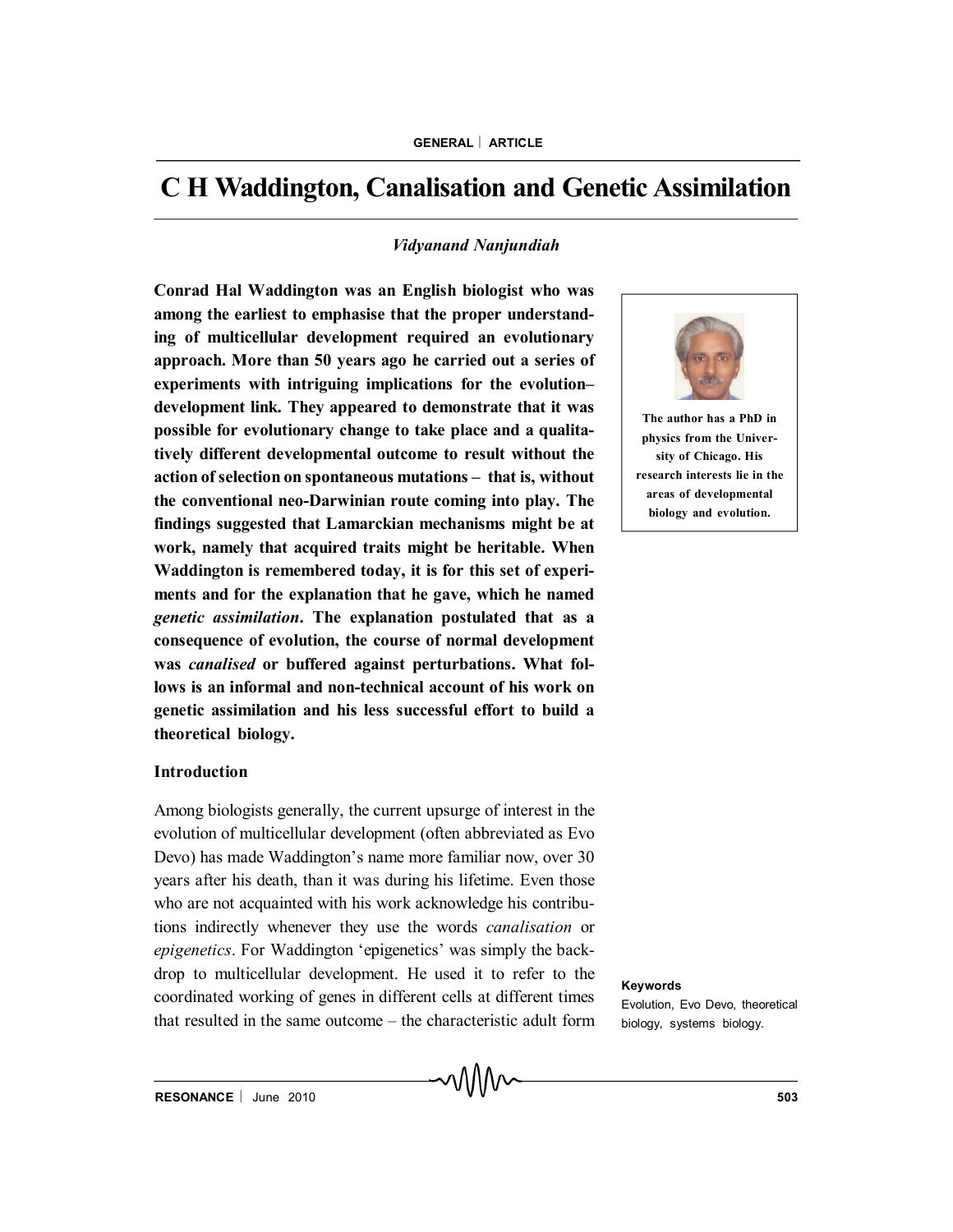# **C H Waddington, Canalisation and Genetic Assimilation**

### *Vidyanand Nanjundiah*

**Conrad Hal Waddington was an English biologist who was among the earliest to emphasise that the proper understanding of multicellular development required an evolutionary approach. More than 50 years ago he carried out a series of experiments with intriguing implications for the evolution– development link. They appeared to demonstrate that it was possible for evolutionary change to take place and a qualitatively different developmental outcome to result without the action of selection on spontaneous mutations – that is, without the conventional neo-Darwinian route coming into play. The findings suggested that Lamarckian mechanisms might be at work, namely that acquired traits might be heritable. When Waddington is remembered today, it is for this set of experiments and for the explanation that he gave, which he named** *genetic assimilation***. The explanation postulated that as a consequence of evolution, the course of normal development was** *canalised* **or buffered against perturbations. What follows is an informal and non-technical account of his work on genetic assimilation and his less successful effort to build a theoretical biology.**

## **Introduction**

Among biologists generally, the current upsurge of interest in the evolution of multicellular development (often abbreviated as Evo Devo) has made Waddington's name more familiar now, over 30 years after his death, than it was during his lifetime. Even those who are not acquainted with his work acknowledge his contributions indirectly whenever they use the words *canalisation* or *epigenetics*. For Waddington 'epigenetics' was simply the backdrop to multicellular development. He used it to refer to the coordinated working of genes in different cells at different times that resulted in the same outcome – the characteristic adult form



**The author has a PhD in physics from the University of Chicago. His research interests lie in the areas of developmental biology and evolution.**

#### **Keywords**

Evolution, Evo Devo, theoretical biology, systems biology.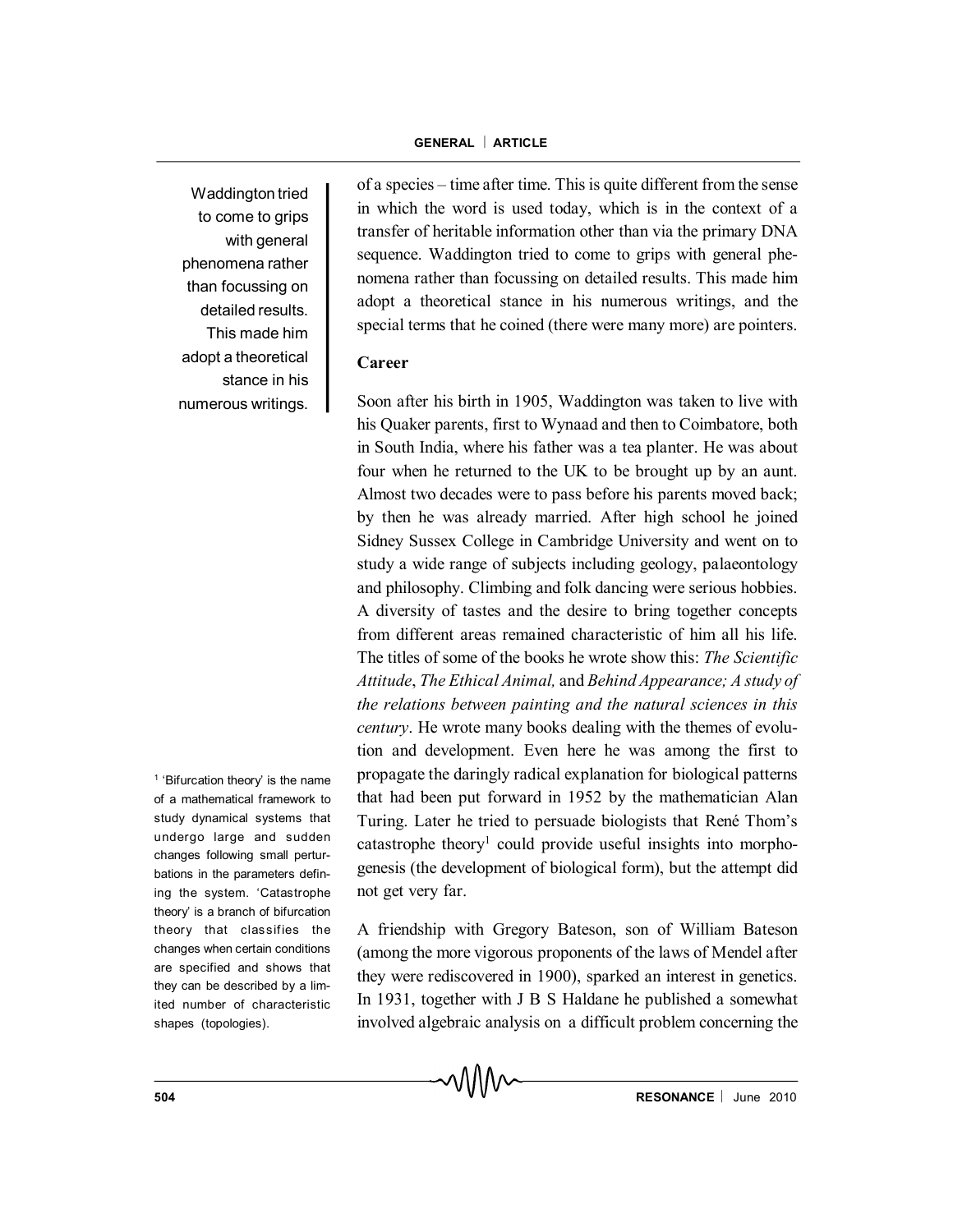Waddington tried to come to grips with general phenomena rather than focussing on detailed results. This made him adopt a theoretical stance in his numerous writings.

1 'Bifurcation theory' is the name of a mathematical framework to study dynamical systems that undergo large and sudden changes following small perturbations in the parameters defining the system. 'Catastrophe theory' is a branch of bifurcation theory that classifies the changes when certain conditions are specified and shows that they can be described by a limited number of characteristic shapes (topologies).

of a species – time after time. This is quite different from the sense in which the word is used today, which is in the context of a transfer of heritable information other than via the primary DNA sequence. Waddington tried to come to grips with general phenomena rather than focussing on detailed results. This made him adopt a theoretical stance in his numerous writings, and the special terms that he coined (there were many more) are pointers.

## **Career**

Soon after his birth in 1905, Waddington was taken to live with his Quaker parents, first to Wynaad and then to Coimbatore, both in South India, where his father was a tea planter. He was about four when he returned to the UK to be brought up by an aunt. Almost two decades were to pass before his parents moved back; by then he was already married. After high school he joined Sidney Sussex College in Cambridge University and went on to study a wide range of subjects including geology, palaeontology and philosophy. Climbing and folk dancing were serious hobbies. A diversity of tastes and the desire to bring together concepts from different areas remained characteristic of him all his life. The titles of some of the books he wrote show this: *The Scientific Attitude*, *The Ethical Animal,* and *Behind Appearance; A study of the relations between painting and the natural sciences in this century*. He wrote many books dealing with the themes of evolution and development. Even here he was among the first to propagate the daringly radical explanation for biological patterns that had been put forward in 1952 by the mathematician Alan Turing. Later he tried to persuade biologists that René Thom's catastrophe theory<sup>1</sup> could provide useful insights into morphogenesis (the development of biological form), but the attempt did not get very far.

A friendship with Gregory Bateson, son of William Bateson (among the more vigorous proponents of the laws of Mendel after they were rediscovered in 1900), sparked an interest in genetics. In 1931, together with J B S Haldane he published a somewhat involved algebraic analysis on a difficult problem concerning the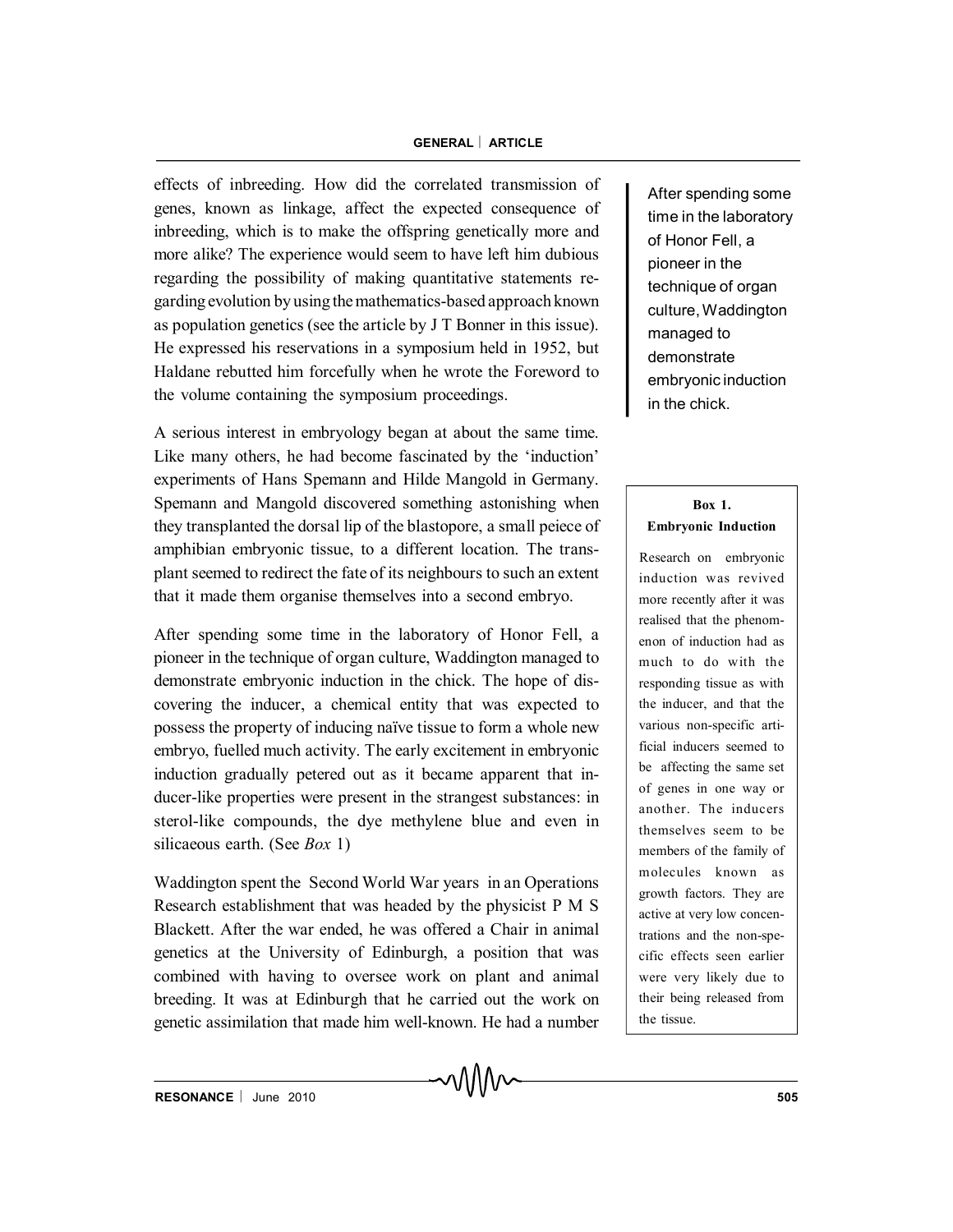effects of inbreeding. How did the correlated transmission of genes, known as linkage, affect the expected consequence of inbreeding, which is to make the offspring genetically more and more alike? The experience would seem to have left him dubious regarding the possibility of making quantitative statements regarding evolution by using themathematics-based approach known as population genetics (see the article by J T Bonner in this issue). He expressed his reservations in a symposium held in 1952, but Haldane rebutted him forcefully when he wrote the Foreword to the volume containing the symposium proceedings.

A serious interest in embryology began at about the same time. Like many others, he had become fascinated by the 'induction' experiments of Hans Spemann and Hilde Mangold in Germany. Spemann and Mangold discovered something astonishing when they transplanted the dorsal lip of the blastopore, a small peiece of amphibian embryonic tissue, to a different location. The transplant seemed to redirect the fate of its neighbours to such an extent that it made them organise themselves into a second embryo.

After spending some time in the laboratory of Honor Fell, a pioneer in the technique of organ culture, Waddington managed to demonstrate embryonic induction in the chick. The hope of discovering the inducer, a chemical entity that was expected to possess the property of inducing naïve tissue to form a whole new embryo, fuelled much activity. The early excitement in embryonic induction gradually petered out as it became apparent that inducer-like properties were present in the strangest substances: in sterol-like compounds, the dye methylene blue and even in silicaeous earth. (See *Box* 1)

Waddington spent the Second World War years in an Operations Research establishment that was headed by the physicist P M S Blackett. After the war ended, he was offered a Chair in animal genetics at the University of Edinburgh, a position that was combined with having to oversee work on plant and animal breeding. It was at Edinburgh that he carried out the work on genetic assimilation that made him well-known. He had a number

MMW

After spending some time in the laboratory of Honor Fell, a pioneer in the technique of organ culture, Waddington managed to demonstrate embryonic induction in the chick.

## **Box 1. Embryonic Induction**

Research on embryonic induction was revived more recently after it was realised that the phenomenon of induction had as much to do with the responding tissue as with the inducer, and that the various non-specific artificial inducers seemed to be affecting the same set of genes in one way or another. The inducers themselves seem to be members of the family of molecules known as growth factors. They are active at very low concentrations and the non-specific effects seen earlier were very likely due to their being released from the tissue.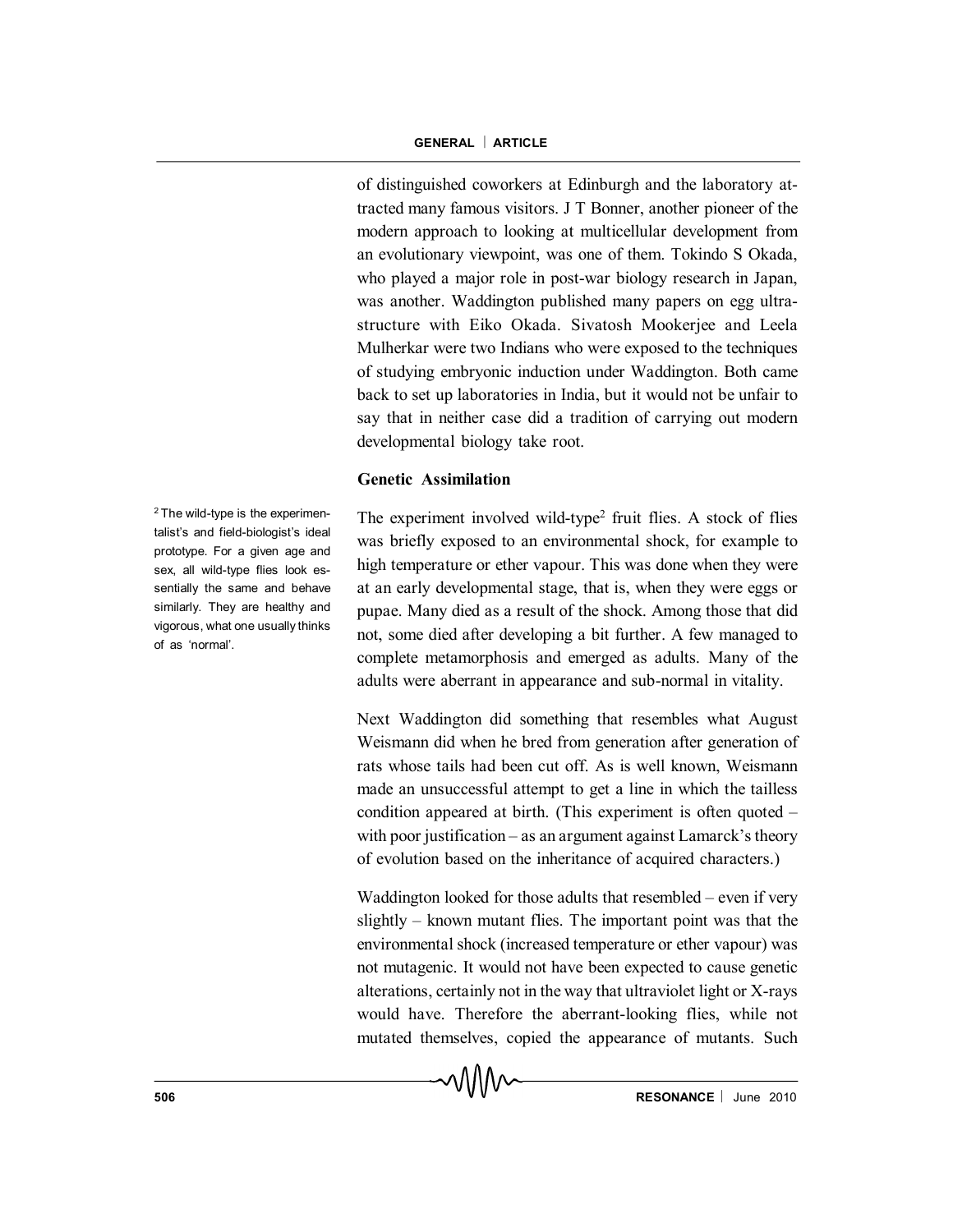of distinguished coworkers at Edinburgh and the laboratory attracted many famous visitors. J T Bonner, another pioneer of the modern approach to looking at multicellular development from an evolutionary viewpoint, was one of them. Tokindo S Okada, who played a major role in post-war biology research in Japan, was another. Waddington published many papers on egg ultrastructure with Eiko Okada. Sivatosh Mookerjee and Leela Mulherkar were two Indians who were exposed to the techniques of studying embryonic induction under Waddington. Both came back to set up laboratories in India, but it would not be unfair to say that in neither case did a tradition of carrying out modern developmental biology take root.

# **Genetic Assimilation**

The experiment involved wild-type<sup>2</sup> fruit flies. A stock of flies was briefly exposed to an environmental shock, for example to high temperature or ether vapour. This was done when they were at an early developmental stage, that is, when they were eggs or pupae. Many died as a result of the shock. Among those that did not, some died after developing a bit further. A few managed to complete metamorphosis and emerged as adults. Many of the adults were aberrant in appearance and sub-normal in vitality.

Next Waddington did something that resembles what August Weismann did when he bred from generation after generation of rats whose tails had been cut off. As is well known, Weismann made an unsuccessful attempt to get a line in which the tailless condition appeared at birth. (This experiment is often quoted – with poor justification – as an argument against Lamarck's theory of evolution based on the inheritance of acquired characters.)

Waddington looked for those adults that resembled – even if very slightly – known mutant flies. The important point was that the environmental shock (increased temperature or ether vapour) was not mutagenic. It would not have been expected to cause genetic alterations, certainly not in the way that ultraviolet light or X-rays would have. Therefore the aberrant-looking flies, while not mutated themselves, copied the appearance of mutants. Such

MM

<sup>2</sup> The wild-type is the experimentalist's and field-biologist's ideal prototype. For a given age and sex, all wild-type flies look essentially the same and behave similarly. They are healthy and vigorous, what one usually thinks of as 'normal'.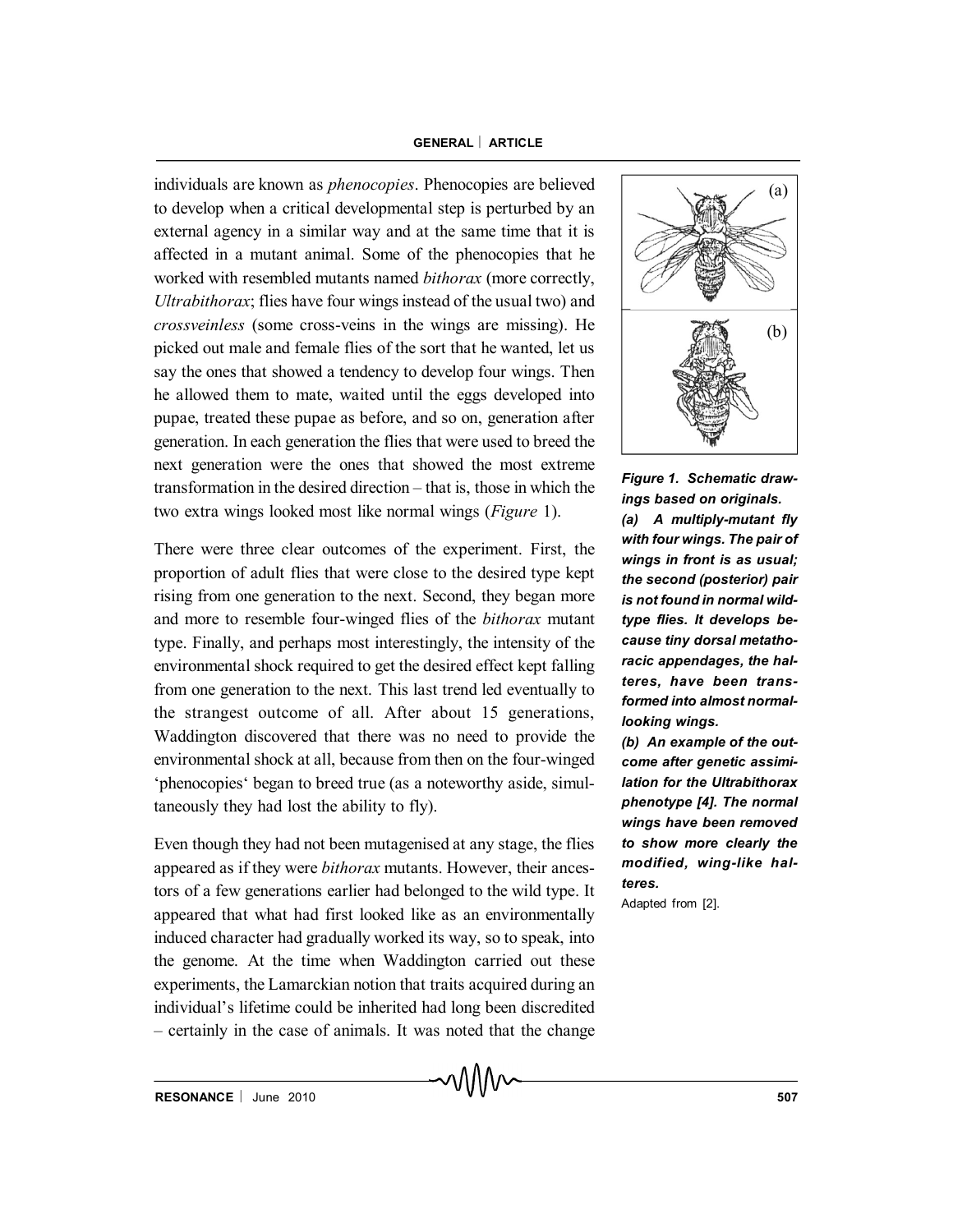individuals are known as *phenocopies*. Phenocopies are believed to develop when a critical developmental step is perturbed by an external agency in a similar way and at the same time that it is affected in a mutant animal. Some of the phenocopies that he worked with resembled mutants named *bithorax* (more correctly, *Ultrabithorax*; flies have four wings instead of the usual two) and *crossveinless* (some cross-veins in the wings are missing). He picked out male and female flies of the sort that he wanted, let us say the ones that showed a tendency to develop four wings. Then he allowed them to mate, waited until the eggs developed into pupae, treated these pupae as before, and so on, generation after generation. In each generation the flies that were used to breed the next generation were the ones that showed the most extreme transformation in the desired direction – that is, those in which the two extra wings looked most like normal wings (*Figure* 1).

There were three clear outcomes of the experiment. First, the proportion of adult flies that were close to the desired type kept rising from one generation to the next. Second, they began more and more to resemble four-winged flies of the *bithorax* mutant type. Finally, and perhaps most interestingly, the intensity of the environmental shock required to get the desired effect kept falling from one generation to the next. This last trend led eventually to the strangest outcome of all. After about 15 generations, Waddington discovered that there was no need to provide the environmental shock at all, because from then on the four-winged 'phenocopies' began to breed true (as a noteworthy aside, simultaneously they had lost the ability to fly).

Even though they had not been mutagenised at any stage, the flies appeared as if they were *bithorax* mutants. However, their ancestors of a few generations earlier had belonged to the wild type. It appeared that what had first looked like as an environmentally induced character had gradually worked its way, so to speak, into the genome. At the time when Waddington carried out these experiments, the Lamarckian notion that traits acquired during an individual's lifetime could be inherited had long been discredited – certainly in the case of animals. It was noted that the change

า\\\\\∧



*Figure 1. Schematic drawings based on originals. (a) A multiply-mutant fly with four wings. The pair of wings in front is as usual; the second (posterior) pair is not found in normal wildtype flies. It develops because tiny dorsal metathoracic appendages, the halteres, have been transformed into almost normallooking wings.*

*(b) An example of the outcome after genetic assimilation for the Ultrabithorax phenotype [4]. The normal wings have been removed to show more clearly the modified, wing-like halteres.*

Adapted from [2].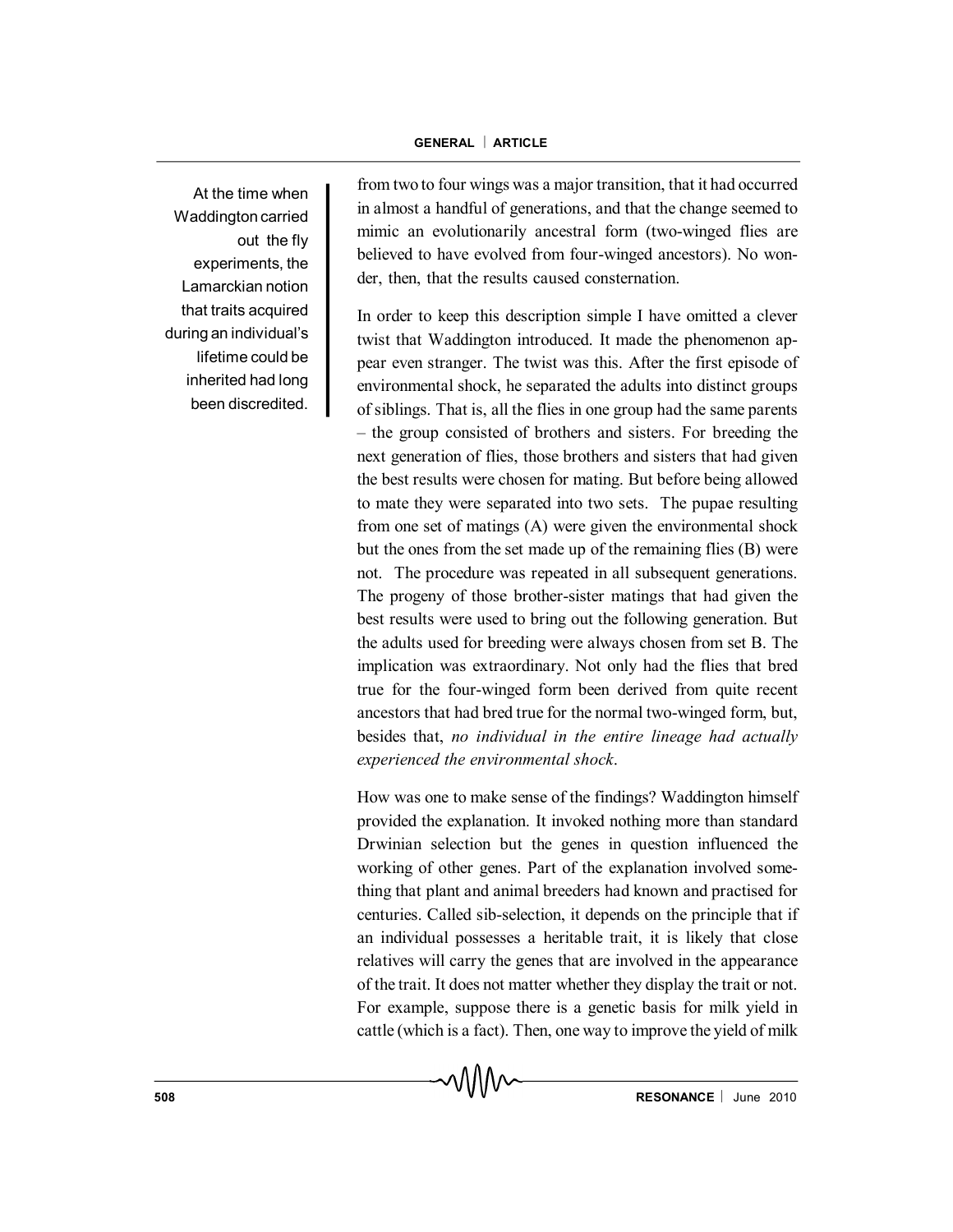At the time when Waddington carried out the fly experiments, the Lamarckian notion that traits acquired during an individual's lifetime could be inherited had long been discredited.

from two to four wings was a major transition, that it had occurred in almost a handful of generations, and that the change seemed to mimic an evolutionarily ancestral form (two-winged flies are believed to have evolved from four-winged ancestors). No wonder, then, that the results caused consternation.

In order to keep this description simple I have omitted a clever twist that Waddington introduced. It made the phenomenon appear even stranger. The twist was this. After the first episode of environmental shock, he separated the adults into distinct groups of siblings. That is, all the flies in one group had the same parents – the group consisted of brothers and sisters. For breeding the next generation of flies, those brothers and sisters that had given the best results were chosen for mating. But before being allowed to mate they were separated into two sets. The pupae resulting from one set of matings (A) were given the environmental shock but the ones from the set made up of the remaining flies (B) were not. The procedure was repeated in all subsequent generations. The progeny of those brother-sister matings that had given the best results were used to bring out the following generation. But the adults used for breeding were always chosen from set B. The implication was extraordinary. Not only had the flies that bred true for the four-winged form been derived from quite recent ancestors that had bred true for the normal two-winged form, but, besides that, *no individual in the entire lineage had actually experienced the environmental shock*.

How was one to make sense of the findings? Waddington himself provided the explanation. It invoked nothing more than standard Drwinian selection but the genes in question influenced the working of other genes. Part of the explanation involved something that plant and animal breeders had known and practised for centuries. Called sib-selection, it depends on the principle that if an individual possesses a heritable trait, it is likely that close relatives will carry the genes that are involved in the appearance of the trait. It does not matter whether they display the trait or not. For example, suppose there is a genetic basis for milk yield in cattle (which is a fact). Then, one way to improve the yield of milk

MM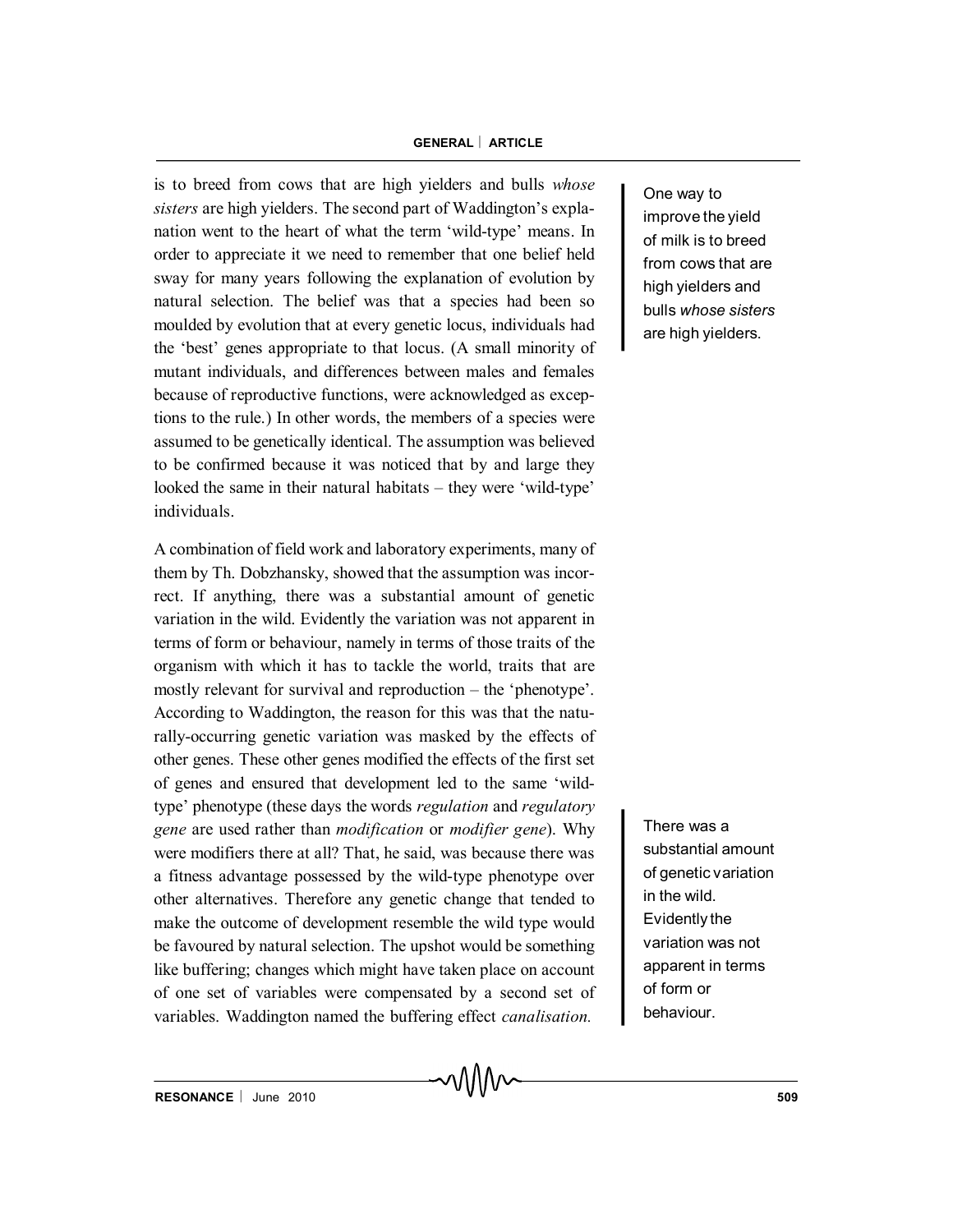is to breed from cows that are high yielders and bulls *whose sisters* are high yielders. The second part of Waddington's explanation went to the heart of what the term 'wild-type' means. In order to appreciate it we need to remember that one belief held sway for many years following the explanation of evolution by natural selection. The belief was that a species had been so moulded by evolution that at every genetic locus, individuals had the 'best' genes appropriate to that locus. (A small minority of mutant individuals, and differences between males and females because of reproductive functions, were acknowledged as exceptions to the rule.) In other words, the members of a species were assumed to be genetically identical. The assumption was believed to be confirmed because it was noticed that by and large they looked the same in their natural habitats – they were 'wild-type' individuals.

A combination of field work and laboratory experiments, many of them by Th. Dobzhansky, showed that the assumption was incorrect. If anything, there was a substantial amount of genetic variation in the wild. Evidently the variation was not apparent in terms of form or behaviour, namely in terms of those traits of the organism with which it has to tackle the world, traits that are mostly relevant for survival and reproduction – the 'phenotype'. According to Waddington, the reason for this was that the naturally-occurring genetic variation was masked by the effects of other genes. These other genes modified the effects of the first set of genes and ensured that development led to the same 'wildtype' phenotype (these days the words *regulation* and *regulatory gene* are used rather than *modification* or *modifier gene*). Why were modifiers there at all? That, he said, was because there was a fitness advantage possessed by the wild-type phenotype over other alternatives. Therefore any genetic change that tended to make the outcome of development resemble the wild type would be favoured by natural selection. The upshot would be something like buffering; changes which might have taken place on account of one set of variables were compensated by a second set of variables. Waddington named the buffering effect *canalisation.*

MM

One way to improve the yield of milk is to breed from cows that are high yielders and bulls *whose sisters* are high yielders.

There was a substantial amount of genetic variation in the wild. Evidently the variation was not apparent in terms of form or behaviour.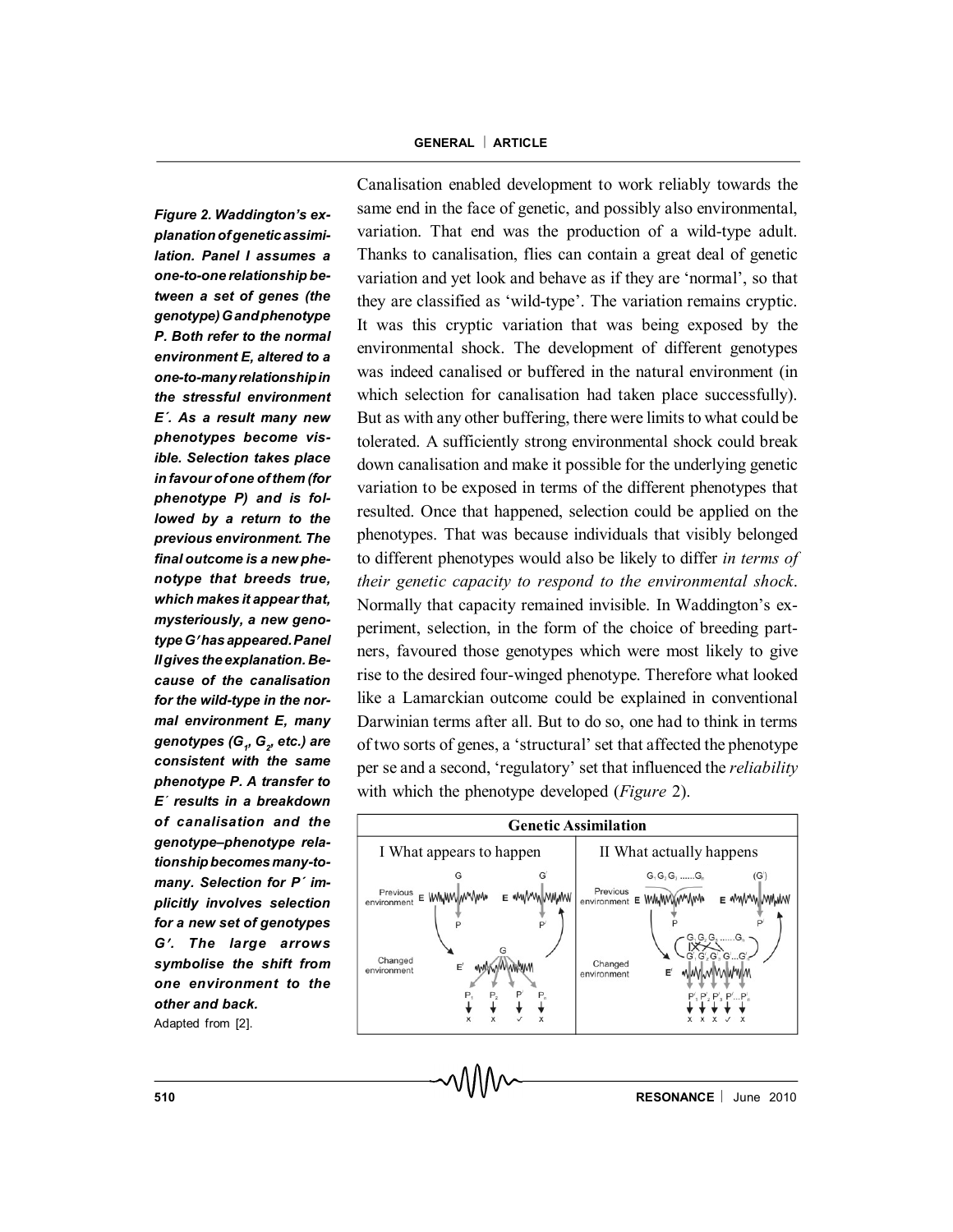*Figure 2. Waddington's explanation ofgeneticassimilation. Panel I assumes a one-to-one relationship between a set of genes (the genotype)Gandphenotype P. Both refer to the normal environment E, altered to a one-to-many relationshipin the stressful environment E´. As a result many new phenotypes become visible. Selection takes place in favour of one of them (for phenotype P) and is followed by a return to the previous environment. The final outcome is a new phenotype that breeds true, which makes it appear that, mysteriously, a new genotype G has appeared.Panel IIgives the explanation. Because of the canalisation for the wild-type in the normal environment E, many genotypes (G<sup>1</sup> , G<sup>2</sup> , etc.) are consistent with the same phenotype P. A transfer to E´ results in a breakdown of canalisation and the genotype–phenotype relationship becomes many-tomany. Selection for P´ implicitly involves selection for a new set of genotypes G. The large arrows symbolise the shift from one environment to the other and back.* Adapted from [2].

Canalisation enabled development to work reliably towards the same end in the face of genetic, and possibly also environmental, variation. That end was the production of a wild-type adult. Thanks to canalisation, flies can contain a great deal of genetic variation and yet look and behave as if they are 'normal', so that they are classified as 'wild-type'. The variation remains cryptic. It was this cryptic variation that was being exposed by the environmental shock. The development of different genotypes was indeed canalised or buffered in the natural environment (in which selection for canalisation had taken place successfully). But as with any other buffering, there were limits to what could be tolerated. A sufficiently strong environmental shock could break down canalisation and make it possible for the underlying genetic variation to be exposed in terms of the different phenotypes that resulted. Once that happened, selection could be applied on the phenotypes. That was because individuals that visibly belonged to different phenotypes would also be likely to differ *in terms of their genetic capacity to respond to the environmental shock*. Normally that capacity remained invisible. In Waddington's experiment, selection, in the form of the choice of breeding partners, favoured those genotypes which were most likely to give rise to the desired four-winged phenotype. Therefore what looked like a Lamarckian outcome could be explained in conventional Darwinian terms after all. But to do so, one had to think in terms of two sorts of genes, a 'structural' set that affected the phenotype per se and a second, 'regulatory' set that influenced the *reliability* with which the phenotype developed (*Figure* 2).



**510 RESONANCE** June 2010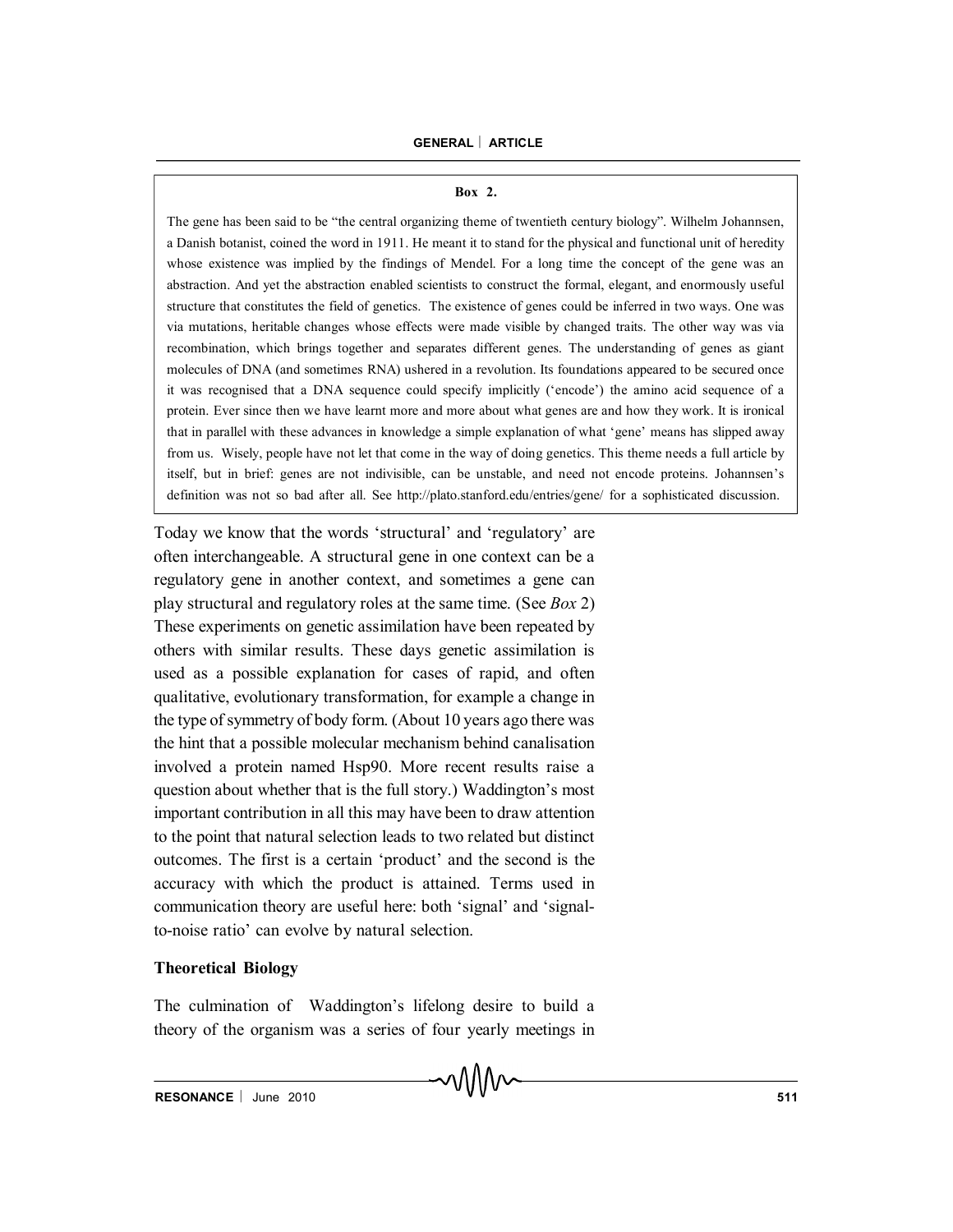#### **Box 2.**

The gene has been said to be "the central organizing theme of twentieth century biology". Wilhelm Johannsen, a Danish botanist, coined the word in 1911. He meant it to stand for the physical and functional unit of heredity whose existence was implied by the findings of Mendel. For a long time the concept of the gene was an abstraction. And yet the abstraction enabled scientists to construct the formal, elegant, and enormously useful structure that constitutes the field of genetics. The existence of genes could be inferred in two ways. One was via mutations, heritable changes whose effects were made visible by changed traits. The other way was via recombination, which brings together and separates different genes. The understanding of genes as giant molecules of DNA (and sometimes RNA) ushered in a revolution. Its foundations appeared to be secured once it was recognised that a DNA sequence could specify implicitly ('encode') the amino acid sequence of a protein. Ever since then we have learnt more and more about what genes are and how they work. It is ironical that in parallel with these advances in knowledge a simple explanation of what 'gene' means has slipped away from us. Wisely, people have not let that come in the way of doing genetics. This theme needs a full article by itself, but in brief: genes are not indivisible, can be unstable, and need not encode proteins. Johannsen's definition was not so bad after all. See http://plato.stanford.edu/entries/gene/ for a sophisticated discussion.

Today we know that the words 'structural' and 'regulatory' are often interchangeable. A structural gene in one context can be a regulatory gene in another context, and sometimes a gene can play structural and regulatory roles at the same time. (See *Box* 2) These experiments on genetic assimilation have been repeated by others with similar results. These days genetic assimilation is used as a possible explanation for cases of rapid, and often qualitative, evolutionary transformation, for example a change in the type of symmetry of body form. (About 10 years ago there was the hint that a possible molecular mechanism behind canalisation involved a protein named Hsp90. More recent results raise a question about whether that is the full story.) Waddington's most important contribution in all this may have been to draw attention to the point that natural selection leads to two related but distinct outcomes. The first is a certain 'product' and the second is the accuracy with which the product is attained. Terms used in communication theory are useful here: both 'signal' and 'signalto-noise ratio' can evolve by natural selection.

## **Theoretical Biology**

The culmination of Waddington's lifelong desire to build a theory of the organism was a series of four yearly meetings in

MMM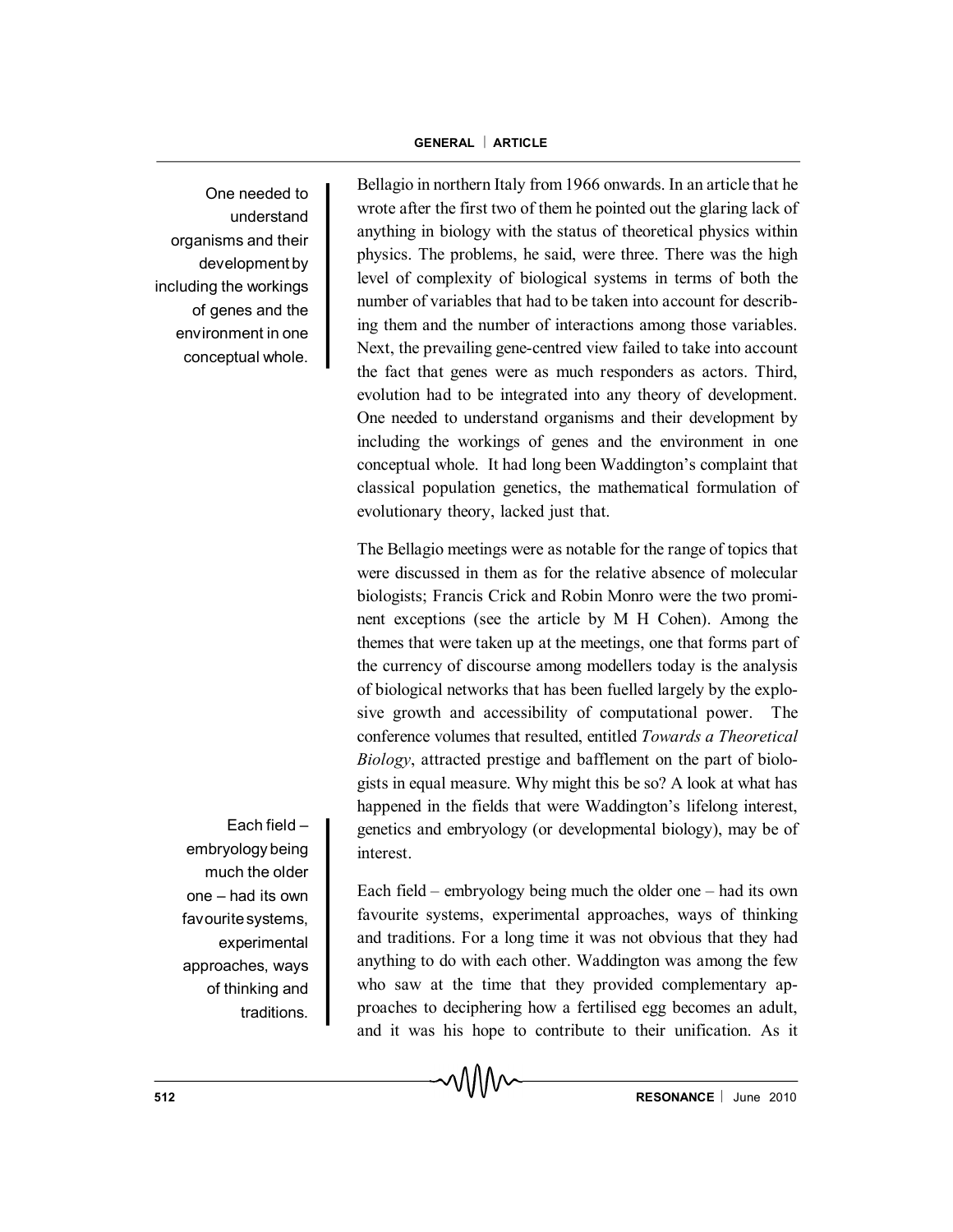One needed to understand organisms and their development by including the workings of genes and the environment in one conceptual whole.

> Each field – embryology being much the older one – had its own favourite systems, experimental approaches, ways of thinking and traditions.

Bellagio in northern Italy from 1966 onwards. In an article that he wrote after the first two of them he pointed out the glaring lack of anything in biology with the status of theoretical physics within physics. The problems, he said, were three. There was the high level of complexity of biological systems in terms of both the number of variables that had to be taken into account for describing them and the number of interactions among those variables. Next, the prevailing gene-centred view failed to take into account the fact that genes were as much responders as actors. Third, evolution had to be integrated into any theory of development. One needed to understand organisms and their development by including the workings of genes and the environment in one conceptual whole. It had long been Waddington's complaint that classical population genetics, the mathematical formulation of evolutionary theory, lacked just that.

The Bellagio meetings were as notable for the range of topics that were discussed in them as for the relative absence of molecular biologists; Francis Crick and Robin Monro were the two prominent exceptions (see the article by M H Cohen). Among the themes that were taken up at the meetings, one that forms part of the currency of discourse among modellers today is the analysis of biological networks that has been fuelled largely by the explosive growth and accessibility of computational power. The conference volumes that resulted, entitled *Towards a Theoretical Biology*, attracted prestige and bafflement on the part of biologists in equal measure. Why might this be so? A look at what has happened in the fields that were Waddington's lifelong interest, genetics and embryology (or developmental biology), may be of interest.

Each field – embryology being much the older one – had its own favourite systems, experimental approaches, ways of thinking and traditions. For a long time it was not obvious that they had anything to do with each other. Waddington was among the few who saw at the time that they provided complementary approaches to deciphering how a fertilised egg becomes an adult, and it was his hope to contribute to their unification. As it